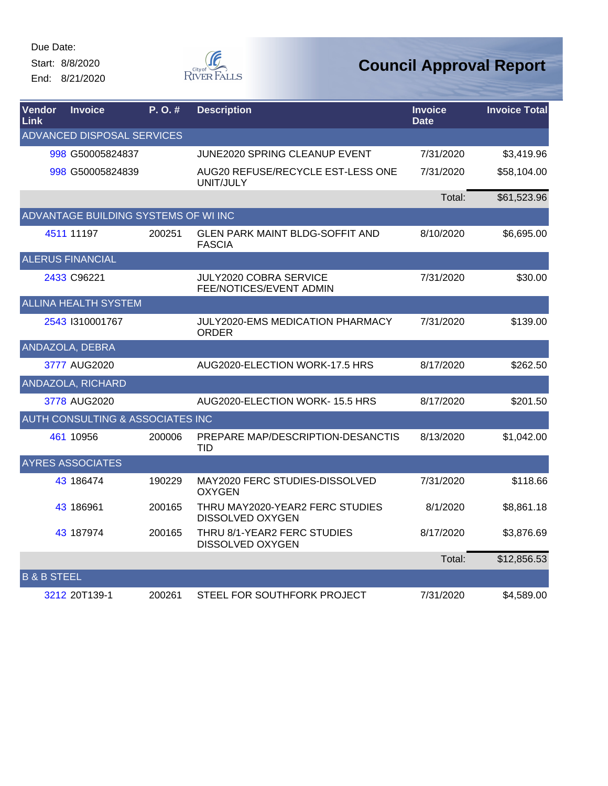Start: 8/8/2020 End: 8/21/2020



| Vendor<br>Link         | <b>Invoice</b>                              | P.O.#  | <b>Description</b>                                      | <b>Invoice</b><br><b>Date</b> | <b>Invoice Total</b> |
|------------------------|---------------------------------------------|--------|---------------------------------------------------------|-------------------------------|----------------------|
|                        | <b>ADVANCED DISPOSAL SERVICES</b>           |        |                                                         |                               |                      |
|                        | 998 G50005824837                            |        | JUNE2020 SPRING CLEANUP EVENT                           | 7/31/2020                     | \$3,419.96           |
|                        | 998 G50005824839                            |        | AUG20 REFUSE/RECYCLE EST-LESS ONE<br>UNIT/JULY          | 7/31/2020                     | \$58,104.00          |
|                        |                                             |        |                                                         | Total:                        | \$61,523.96          |
|                        | ADVANTAGE BUILDING SYSTEMS OF WI INC        |        |                                                         |                               |                      |
|                        | 4511 11197                                  | 200251 | <b>GLEN PARK MAINT BLDG-SOFFIT AND</b><br><b>FASCIA</b> | 8/10/2020                     | \$6,695.00           |
|                        | <b>ALERUS FINANCIAL</b>                     |        |                                                         |                               |                      |
|                        | 2433 C96221                                 |        | JULY2020 COBRA SERVICE<br>FEE/NOTICES/EVENT ADMIN       | 7/31/2020                     | \$30.00              |
|                        | <b>ALLINA HEALTH SYSTEM</b>                 |        |                                                         |                               |                      |
|                        | 2543 1310001767                             |        | <b>JULY2020-EMS MEDICATION PHARMACY</b><br><b>ORDER</b> | 7/31/2020                     | \$139.00             |
|                        | ANDAZOLA, DEBRA                             |        |                                                         |                               |                      |
|                        | 3777 AUG2020                                |        | AUG2020-ELECTION WORK-17.5 HRS                          | 8/17/2020                     | \$262.50             |
|                        | ANDAZOLA, RICHARD                           |        |                                                         |                               |                      |
|                        | 3778 AUG2020                                |        | AUG2020-ELECTION WORK-15.5 HRS                          | 8/17/2020                     | \$201.50             |
|                        | <b>AUTH CONSULTING &amp; ASSOCIATES INC</b> |        |                                                         |                               |                      |
|                        | 461 10956                                   | 200006 | PREPARE MAP/DESCRIPTION-DESANCTIS<br><b>TID</b>         | 8/13/2020                     | \$1,042.00           |
|                        | <b>AYRES ASSOCIATES</b>                     |        |                                                         |                               |                      |
|                        | 43 186474                                   | 190229 | MAY2020 FERC STUDIES-DISSOLVED<br><b>OXYGEN</b>         | 7/31/2020                     | \$118.66             |
|                        | 43 186961                                   | 200165 | THRU MAY2020-YEAR2 FERC STUDIES<br>DISSOLVED OXYGEN     | 8/1/2020                      | \$8,861.18           |
|                        | 43 187974                                   | 200165 | THRU 8/1-YEAR2 FERC STUDIES<br><b>DISSOLVED OXYGEN</b>  | 8/17/2020                     | \$3,876.69           |
|                        |                                             |        |                                                         | Total:                        | \$12,856.53          |
| <b>B &amp; B STEEL</b> |                                             |        |                                                         |                               |                      |
|                        | 3212 20T139-1                               | 200261 | STEEL FOR SOUTHFORK PROJECT                             | 7/31/2020                     | \$4,589.00           |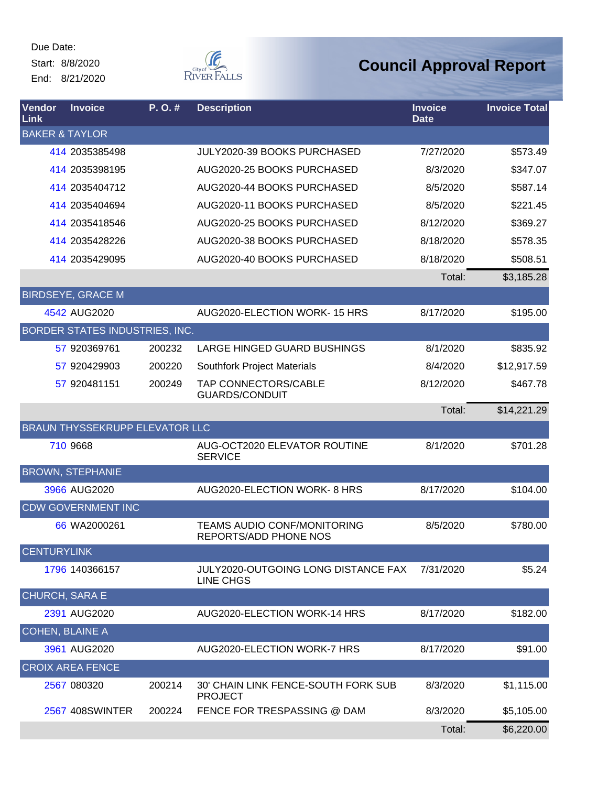Due Date: Start: 8/8/2020

End: 8/21/2020



| Vendor<br>Link            | <b>Invoice</b>                        | P.O.#  | <b>Description</b>                                             | <b>Invoice</b><br><b>Date</b> | <b>Invoice Total</b> |
|---------------------------|---------------------------------------|--------|----------------------------------------------------------------|-------------------------------|----------------------|
| <b>BAKER &amp; TAYLOR</b> |                                       |        |                                                                |                               |                      |
|                           | 414 2035385498                        |        | <b>JULY2020-39 BOOKS PURCHASED</b>                             | 7/27/2020                     | \$573.49             |
|                           | 414 2035398195                        |        | AUG2020-25 BOOKS PURCHASED                                     | 8/3/2020                      | \$347.07             |
|                           | 414 2035404712                        |        | AUG2020-44 BOOKS PURCHASED                                     | 8/5/2020                      | \$587.14             |
|                           | 414 2035404694                        |        | AUG2020-11 BOOKS PURCHASED                                     | 8/5/2020                      | \$221.45             |
|                           | 414 2035418546                        |        | AUG2020-25 BOOKS PURCHASED                                     | 8/12/2020                     | \$369.27             |
|                           | 414 2035428226                        |        | AUG2020-38 BOOKS PURCHASED                                     | 8/18/2020                     | \$578.35             |
|                           | 414 2035429095                        |        | AUG2020-40 BOOKS PURCHASED                                     | 8/18/2020                     | \$508.51             |
|                           |                                       |        |                                                                | Total:                        | \$3,185.28           |
|                           | <b>BIRDSEYE, GRACE M</b>              |        |                                                                |                               |                      |
|                           | 4542 AUG2020                          |        | AUG2020-ELECTION WORK-15 HRS                                   | 8/17/2020                     | \$195.00             |
|                           | BORDER STATES INDUSTRIES, INC.        |        |                                                                |                               |                      |
|                           | 57 920369761                          | 200232 | <b>LARGE HINGED GUARD BUSHINGS</b>                             | 8/1/2020                      | \$835.92             |
|                           | 57 920429903                          | 200220 | <b>Southfork Project Materials</b>                             | 8/4/2020                      | \$12,917.59          |
|                           | 57 920481151                          | 200249 | TAP CONNECTORS/CABLE<br><b>GUARDS/CONDUIT</b>                  | 8/12/2020                     | \$467.78             |
|                           |                                       |        |                                                                | Total:                        | \$14,221.29          |
|                           | <b>BRAUN THYSSEKRUPP ELEVATOR LLC</b> |        |                                                                |                               |                      |
|                           | 710 9668                              |        | AUG-OCT2020 ELEVATOR ROUTINE<br><b>SERVICE</b>                 | 8/1/2020                      | \$701.28             |
|                           | <b>BROWN, STEPHANIE</b>               |        |                                                                |                               |                      |
|                           | 3966 AUG2020                          |        | AUG2020-ELECTION WORK-8 HRS                                    | 8/17/2020                     | \$104.00             |
|                           | <b>CDW GOVERNMENT INC</b>             |        |                                                                |                               |                      |
|                           | 66 WA2000261                          |        | <b>TEAMS AUDIO CONF/MONITORING</b><br>REPORTS/ADD PHONE NOS    | 8/5/2020                      | \$780.00             |
| <b>CENTURYLINK</b>        |                                       |        |                                                                |                               |                      |
|                           | 1796 140366157                        |        | <b>JULY2020-OUTGOING LONG DISTANCE FAX</b><br><b>LINE CHGS</b> | 7/31/2020                     | \$5.24               |
| CHURCH, SARA E            |                                       |        |                                                                |                               |                      |
|                           | 2391 AUG2020                          |        | AUG2020-ELECTION WORK-14 HRS                                   | 8/17/2020                     | \$182.00             |
| <b>COHEN, BLAINE A</b>    |                                       |        |                                                                |                               |                      |
|                           | 3961 AUG2020                          |        | AUG2020-ELECTION WORK-7 HRS                                    | 8/17/2020                     | \$91.00              |
|                           | <b>CROIX AREA FENCE</b>               |        |                                                                |                               |                      |
|                           | 2567 080320                           | 200214 | 30' CHAIN LINK FENCE-SOUTH FORK SUB<br><b>PROJECT</b>          | 8/3/2020                      | \$1,115.00           |
|                           | <b>2567 408SWINTER</b>                | 200224 | FENCE FOR TRESPASSING @ DAM                                    | 8/3/2020                      | \$5,105.00           |
|                           |                                       |        |                                                                | Total:                        | \$6,220.00           |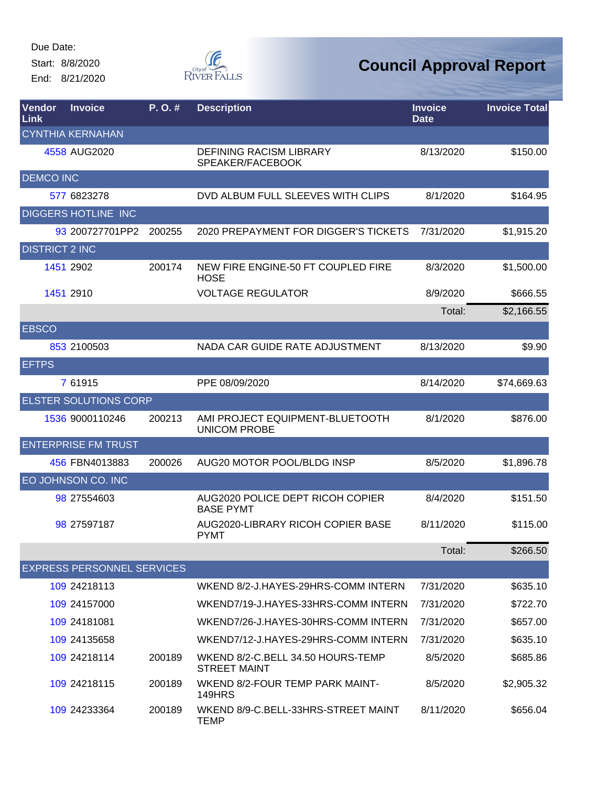Start: 8/8/2020

End: 8/21/2020



| Vendor<br>Link        | <b>Invoice</b>                    | P.O.#  | <b>Description</b>                                       | <b>Invoice</b><br><b>Date</b> | <b>Invoice Total</b> |
|-----------------------|-----------------------------------|--------|----------------------------------------------------------|-------------------------------|----------------------|
|                       | <b>CYNTHIA KERNAHAN</b>           |        |                                                          |                               |                      |
|                       | 4558 AUG2020                      |        | <b>DEFINING RACISM LIBRARY</b><br>SPEAKER/FACEBOOK       | 8/13/2020                     | \$150.00             |
| <b>DEMCO INC</b>      |                                   |        |                                                          |                               |                      |
|                       | 577 6823278                       |        | DVD ALBUM FULL SLEEVES WITH CLIPS                        | 8/1/2020                      | \$164.95             |
|                       | DIGGERS HOTLINE INC               |        |                                                          |                               |                      |
|                       | 93 200727701PP2                   | 200255 | 2020 PREPAYMENT FOR DIGGER'S TICKETS                     | 7/31/2020                     | \$1,915.20           |
| <b>DISTRICT 2 INC</b> |                                   |        |                                                          |                               |                      |
|                       | 1451 2902                         | 200174 | NEW FIRE ENGINE-50 FT COUPLED FIRE<br><b>HOSE</b>        | 8/3/2020                      | \$1,500.00           |
|                       | 1451 2910                         |        | <b>VOLTAGE REGULATOR</b>                                 | 8/9/2020                      | \$666.55             |
|                       |                                   |        |                                                          | Total:                        | \$2,166.55           |
| <b>EBSCO</b>          |                                   |        |                                                          |                               |                      |
|                       | 853 2100503                       |        | NADA CAR GUIDE RATE ADJUSTMENT                           | 8/13/2020                     | \$9.90               |
| <b>EFTPS</b>          |                                   |        |                                                          |                               |                      |
|                       | 7 61915                           |        | PPE 08/09/2020                                           | 8/14/2020                     | \$74,669.63          |
|                       | <b>ELSTER SOLUTIONS CORP</b>      |        |                                                          |                               |                      |
|                       | 1536 9000110246                   | 200213 | AMI PROJECT EQUIPMENT-BLUETOOTH<br><b>UNICOM PROBE</b>   | 8/1/2020                      | \$876.00             |
|                       | <b>ENTERPRISE FM TRUST</b>        |        |                                                          |                               |                      |
|                       | 456 FBN4013883                    | 200026 | AUG20 MOTOR POOL/BLDG INSP                               | 8/5/2020                      | \$1,896.78           |
|                       | EO JOHNSON CO. INC                |        |                                                          |                               |                      |
|                       | 98 27554603                       |        | AUG2020 POLICE DEPT RICOH COPIER<br><b>BASE PYMT</b>     | 8/4/2020                      | \$151.50             |
|                       | 98 27597187                       |        | AUG2020-LIBRARY RICOH COPIER BASE<br><b>PYMT</b>         | 8/11/2020                     | \$115.00             |
|                       |                                   |        |                                                          | Total:                        | \$266.50             |
|                       | <b>EXPRESS PERSONNEL SERVICES</b> |        |                                                          |                               |                      |
|                       | 109 24218113                      |        | WKEND 8/2-J.HAYES-29HRS-COMM INTERN                      | 7/31/2020                     | \$635.10             |
|                       | 109 24157000                      |        | WKEND7/19-J.HAYES-33HRS-COMM INTERN                      | 7/31/2020                     | \$722.70             |
|                       | 109 24181081                      |        | WKEND7/26-J.HAYES-30HRS-COMM INTERN                      | 7/31/2020                     | \$657.00             |
|                       | 109 24135658                      |        | WKEND7/12-J.HAYES-29HRS-COMM INTERN                      | 7/31/2020                     | \$635.10             |
|                       | 109 24218114                      | 200189 | WKEND 8/2-C.BELL 34.50 HOURS-TEMP<br><b>STREET MAINT</b> | 8/5/2020                      | \$685.86             |
|                       | 109 24218115                      | 200189 | WKEND 8/2-FOUR TEMP PARK MAINT-<br>149HRS                | 8/5/2020                      | \$2,905.32           |
|                       | 109 24233364                      | 200189 | WKEND 8/9-C.BELL-33HRS-STREET MAINT<br>TEMP              | 8/11/2020                     | \$656.04             |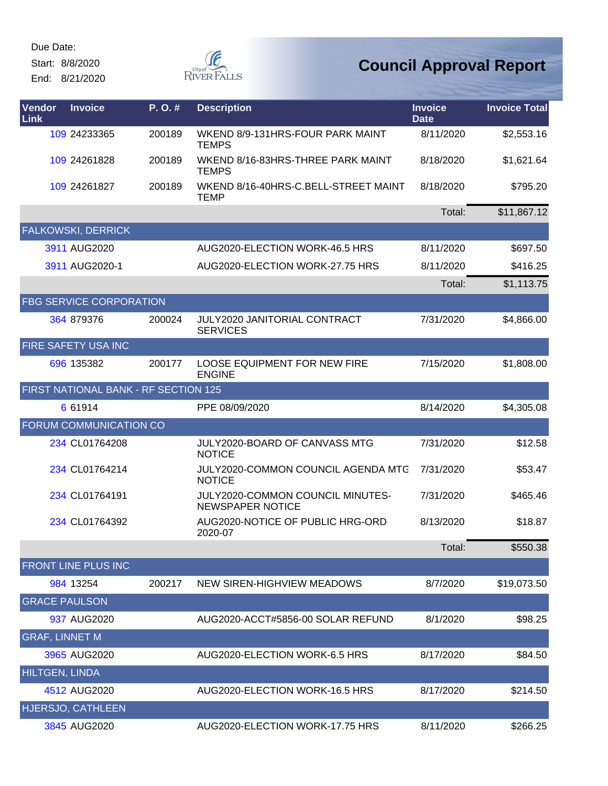Start: 8/8/2020

End: 8/21/2020



| Vendor<br>Link        | <b>Invoice</b>                       | P.O.#  | <b>Description</b>                                          | <b>Invoice</b><br><b>Date</b> | <b>Invoice Total</b> |
|-----------------------|--------------------------------------|--------|-------------------------------------------------------------|-------------------------------|----------------------|
|                       | 109 24233365                         | 200189 | WKEND 8/9-131HRS-FOUR PARK MAINT<br><b>TEMPS</b>            | 8/11/2020                     | \$2,553.16           |
|                       | 109 24261828                         | 200189 | WKEND 8/16-83HRS-THREE PARK MAINT<br><b>TEMPS</b>           | 8/18/2020                     | \$1,621.64           |
|                       | 109 24261827                         | 200189 | WKEND 8/16-40HRS-C.BELL-STREET MAINT<br><b>TEMP</b>         | 8/18/2020                     | \$795.20             |
|                       |                                      |        |                                                             | Total:                        | \$11,867.12          |
|                       | <b>FALKOWSKI, DERRICK</b>            |        |                                                             |                               |                      |
|                       | 3911 AUG2020                         |        | AUG2020-ELECTION WORK-46.5 HRS                              | 8/11/2020                     | \$697.50             |
|                       | 3911 AUG2020-1                       |        | AUG2020-ELECTION WORK-27.75 HRS                             | 8/11/2020                     | \$416.25             |
|                       |                                      |        |                                                             | Total:                        | \$1,113.75           |
|                       | <b>FBG SERVICE CORPORATION</b>       |        |                                                             |                               |                      |
|                       | 364 879376                           | 200024 | JULY2020 JANITORIAL CONTRACT<br><b>SERVICES</b>             | 7/31/2020                     | \$4,866.00           |
|                       | FIRE SAFETY USA INC                  |        |                                                             |                               |                      |
|                       | 696 135382                           | 200177 | <b>LOOSE EQUIPMENT FOR NEW FIRE</b><br><b>ENGINE</b>        | 7/15/2020                     | \$1,808.00           |
|                       | FIRST NATIONAL BANK - RF SECTION 125 |        |                                                             |                               |                      |
|                       | 6 61914                              |        | PPE 08/09/2020                                              | 8/14/2020                     | \$4,305.08           |
|                       | <b>FORUM COMMUNICATION CO</b>        |        |                                                             |                               |                      |
|                       | 234 CL01764208                       |        | JULY2020-BOARD OF CANVASS MTG<br><b>NOTICE</b>              | 7/31/2020                     | \$12.58              |
|                       | 234 CL01764214                       |        | JULY2020-COMMON COUNCIL AGENDA MTG<br><b>NOTICE</b>         | 7/31/2020                     | \$53.47              |
|                       | 234 CL01764191                       |        | JULY2020-COMMON COUNCIL MINUTES-<br><b>NEWSPAPER NOTICE</b> | 7/31/2020                     | \$465.46             |
|                       | 234 CL01764392                       |        | AUG2020-NOTICE OF PUBLIC HRG-ORD<br>2020-07                 | 8/13/2020                     | \$18.87              |
|                       |                                      |        |                                                             | Total:                        | \$550.38             |
|                       | FRONT LINE PLUS INC                  |        |                                                             |                               |                      |
|                       | 984 13254                            | 200217 | NEW SIREN-HIGHVIEW MEADOWS                                  | 8/7/2020                      | \$19,073.50          |
| <b>GRACE PAULSON</b>  |                                      |        |                                                             |                               |                      |
|                       | 937 AUG2020                          |        | AUG2020-ACCT#5856-00 SOLAR REFUND                           | 8/1/2020                      | \$98.25              |
| <b>GRAF, LINNET M</b> |                                      |        |                                                             |                               |                      |
|                       | 3965 AUG2020                         |        | AUG2020-ELECTION WORK-6.5 HRS                               | 8/17/2020                     | \$84.50              |
| <b>HILTGEN, LINDA</b> |                                      |        |                                                             |                               |                      |
|                       | 4512 AUG2020                         |        | AUG2020-ELECTION WORK-16.5 HRS                              | 8/17/2020                     | \$214.50             |
|                       | HJERSJO, CATHLEEN                    |        |                                                             |                               |                      |
|                       | 3845 AUG2020                         |        | AUG2020-ELECTION WORK-17.75 HRS                             | 8/11/2020                     | \$266.25             |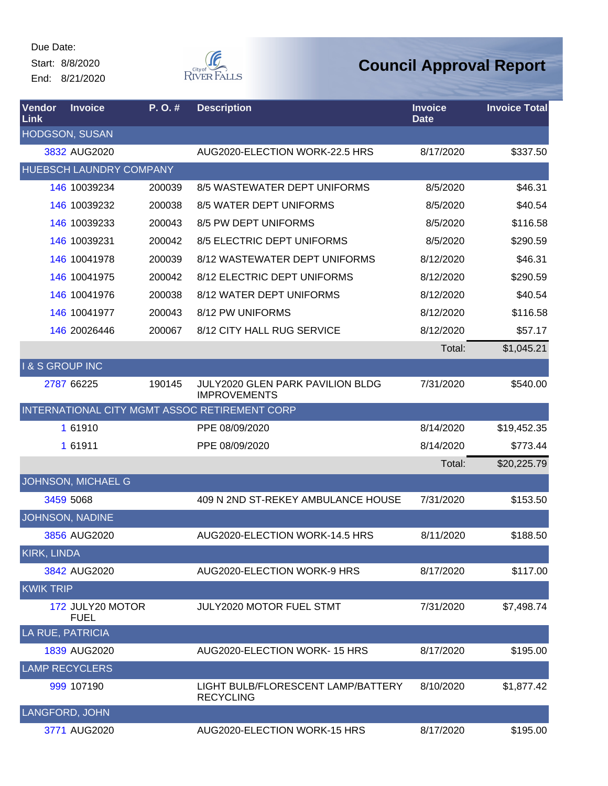Start: 8/8/2020

End: 8/21/2020



| Vendor<br>Link           | <b>Invoice</b>                  | P. O. # | <b>Description</b>                                      | <b>Invoice</b><br><b>Date</b> | <b>Invoice Total</b> |
|--------------------------|---------------------------------|---------|---------------------------------------------------------|-------------------------------|----------------------|
|                          | <b>HODGSON, SUSAN</b>           |         |                                                         |                               |                      |
|                          | 3832 AUG2020                    |         | AUG2020-ELECTION WORK-22.5 HRS                          | 8/17/2020                     | \$337.50             |
|                          | HUEBSCH LAUNDRY COMPANY         |         |                                                         |                               |                      |
|                          | 146 10039234                    | 200039  | 8/5 WASTEWATER DEPT UNIFORMS                            | 8/5/2020                      | \$46.31              |
|                          | 146 10039232                    | 200038  | 8/5 WATER DEPT UNIFORMS                                 | 8/5/2020                      | \$40.54              |
|                          | 146 10039233                    | 200043  | 8/5 PW DEPT UNIFORMS                                    | 8/5/2020                      | \$116.58             |
|                          | 146 10039231                    | 200042  | 8/5 ELECTRIC DEPT UNIFORMS                              | 8/5/2020                      | \$290.59             |
|                          | 146 10041978                    | 200039  | 8/12 WASTEWATER DEPT UNIFORMS                           | 8/12/2020                     | \$46.31              |
|                          | 146 10041975                    | 200042  | 8/12 ELECTRIC DEPT UNIFORMS                             | 8/12/2020                     | \$290.59             |
|                          | 146 10041976                    | 200038  | 8/12 WATER DEPT UNIFORMS                                | 8/12/2020                     | \$40.54              |
|                          | 146 10041977                    | 200043  | 8/12 PW UNIFORMS                                        | 8/12/2020                     | \$116.58             |
|                          | 146 20026446                    | 200067  | 8/12 CITY HALL RUG SERVICE                              | 8/12/2020                     | \$57.17              |
|                          |                                 |         |                                                         | Total:                        | \$1,045.21           |
| <b>I&amp;S GROUP INC</b> |                                 |         |                                                         |                               |                      |
|                          | 2787 66225                      | 190145  | JULY2020 GLEN PARK PAVILION BLDG<br><b>IMPROVEMENTS</b> | 7/31/2020                     | \$540.00             |
|                          |                                 |         | INTERNATIONAL CITY MGMT ASSOC RETIREMENT CORP           |                               |                      |
|                          | 1 61910                         |         | PPE 08/09/2020                                          | 8/14/2020                     | \$19,452.35          |
|                          | 1 61911                         |         | PPE 08/09/2020                                          | 8/14/2020                     | \$773.44             |
|                          |                                 |         |                                                         | Total:                        | \$20,225.79          |
|                          | JOHNSON, MICHAEL G              |         |                                                         |                               |                      |
|                          | 3459 5068                       |         | 409 N 2ND ST-REKEY AMBULANCE HOUSE                      | 7/31/2020                     | \$153.50             |
|                          | <b>JOHNSON, NADINE</b>          |         |                                                         |                               |                      |
|                          | 3856 AUG2020                    |         | AUG2020-ELECTION WORK-14.5 HRS                          | 8/11/2020                     | \$188.50             |
| <b>KIRK, LINDA</b>       |                                 |         |                                                         |                               |                      |
|                          | 3842 AUG2020                    |         | AUG2020-ELECTION WORK-9 HRS                             | 8/17/2020                     | \$117.00             |
| <b>KWIK TRIP</b>         |                                 |         |                                                         |                               |                      |
|                          | 172 JULY20 MOTOR<br><b>FUEL</b> |         | JULY2020 MOTOR FUEL STMT                                | 7/31/2020                     | \$7,498.74           |
| <b>LA RUE, PATRICIA</b>  |                                 |         |                                                         |                               |                      |
|                          | 1839 AUG2020                    |         | AUG2020-ELECTION WORK-15 HRS                            | 8/17/2020                     | \$195.00             |
|                          | <b>LAMP RECYCLERS</b>           |         |                                                         |                               |                      |
|                          | 999 107190                      |         | LIGHT BULB/FLORESCENT LAMP/BATTERY<br><b>RECYCLING</b>  | 8/10/2020                     | \$1,877.42           |
|                          | LANGFORD, JOHN                  |         |                                                         |                               |                      |
|                          | 3771 AUG2020                    |         | AUG2020-ELECTION WORK-15 HRS                            | 8/17/2020                     | \$195.00             |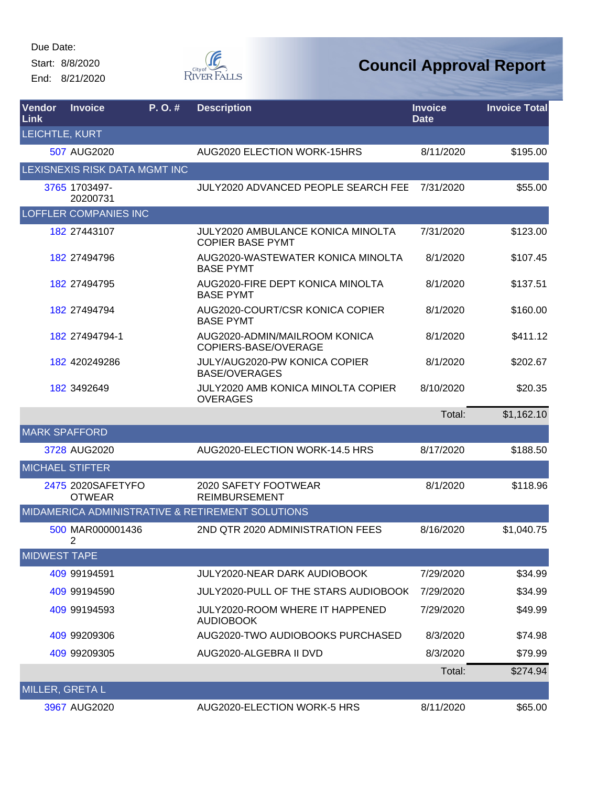Start: 8/8/2020

End: 8/21/2020



| Vendor<br>Link         | <b>Invoice</b>                     | P.O.#                         | <b>Description</b>                                                  | <b>Invoice</b><br><b>Date</b> | <b>Invoice Total</b> |
|------------------------|------------------------------------|-------------------------------|---------------------------------------------------------------------|-------------------------------|----------------------|
| LEICHTLE, KURT         |                                    |                               |                                                                     |                               |                      |
|                        | 507 AUG2020                        |                               | AUG2020 ELECTION WORK-15HRS                                         | 8/11/2020                     | \$195.00             |
|                        |                                    | LEXISNEXIS RISK DATA MGMT INC |                                                                     |                               |                      |
|                        | 3765 1703497-<br>20200731          |                               | <b>JULY2020 ADVANCED PEOPLE SEARCH FEE</b>                          | 7/31/2020                     | \$55.00              |
|                        | <b>LOFFLER COMPANIES INC</b>       |                               |                                                                     |                               |                      |
|                        | 182 27443107                       |                               | <b>JULY2020 AMBULANCE KONICA MINOLTA</b><br><b>COPIER BASE PYMT</b> | 7/31/2020                     | \$123.00             |
|                        | 182 27494796                       |                               | AUG2020-WASTEWATER KONICA MINOLTA<br><b>BASE PYMT</b>               | 8/1/2020                      | \$107.45             |
|                        | 182 27494795                       |                               | AUG2020-FIRE DEPT KONICA MINOLTA<br><b>BASE PYMT</b>                | 8/1/2020                      | \$137.51             |
|                        | 182 27494794                       |                               | AUG2020-COURT/CSR KONICA COPIER<br><b>BASE PYMT</b>                 | 8/1/2020                      | \$160.00             |
|                        | 182 27494794-1                     |                               | AUG2020-ADMIN/MAILROOM KONICA<br>COPIERS-BASE/OVERAGE               | 8/1/2020                      | \$411.12             |
|                        | 182 420249286                      |                               | JULY/AUG2020-PW KONICA COPIER<br><b>BASE/OVERAGES</b>               | 8/1/2020                      | \$202.67             |
|                        | 182 3492649                        |                               | <b>JULY2020 AMB KONICA MINOLTA COPIER</b><br><b>OVERAGES</b>        | 8/10/2020                     | \$20.35              |
|                        |                                    |                               |                                                                     | Total:                        | \$1,162.10           |
| <b>MARK SPAFFORD</b>   |                                    |                               |                                                                     |                               |                      |
|                        | 3728 AUG2020                       |                               | AUG2020-ELECTION WORK-14.5 HRS                                      | 8/17/2020                     | \$188.50             |
| <b>MICHAEL STIFTER</b> |                                    |                               |                                                                     |                               |                      |
|                        | 2475 2020SAFETYFO<br><b>OTWEAR</b> |                               | 2020 SAFETY FOOTWEAR<br><b>REIMBURSEMENT</b>                        | 8/1/2020                      | \$118.96             |
|                        |                                    |                               | MIDAMERICA ADMINISTRATIVE & RETIREMENT SOLUTIONS                    |                               |                      |
|                        | 500 MAR000001436<br>$\overline{2}$ |                               | 2ND QTR 2020 ADMINISTRATION FEES                                    | 8/16/2020                     | \$1,040.75           |
| <b>MIDWEST TAPE</b>    |                                    |                               |                                                                     |                               |                      |
|                        | 409 99194591                       |                               | <b>JULY2020-NEAR DARK AUDIOBOOK</b>                                 | 7/29/2020                     | \$34.99              |
|                        | 409 99194590                       |                               | JULY2020-PULL OF THE STARS AUDIOBOOK                                | 7/29/2020                     | \$34.99              |
|                        | 409 99194593                       |                               | <b>JULY2020-ROOM WHERE IT HAPPENED</b><br><b>AUDIOBOOK</b>          | 7/29/2020                     | \$49.99              |
|                        | 409 99209306                       |                               | AUG2020-TWO AUDIOBOOKS PURCHASED                                    | 8/3/2020                      | \$74.98              |
|                        | 409 99209305                       |                               | AUG2020-ALGEBRA II DVD                                              | 8/3/2020                      | \$79.99              |
|                        |                                    |                               |                                                                     | Total:                        | \$274.94             |
| MILLER, GRETA L        |                                    |                               |                                                                     |                               |                      |
|                        | 3967 AUG2020                       |                               | AUG2020-ELECTION WORK-5 HRS                                         | 8/11/2020                     | \$65.00              |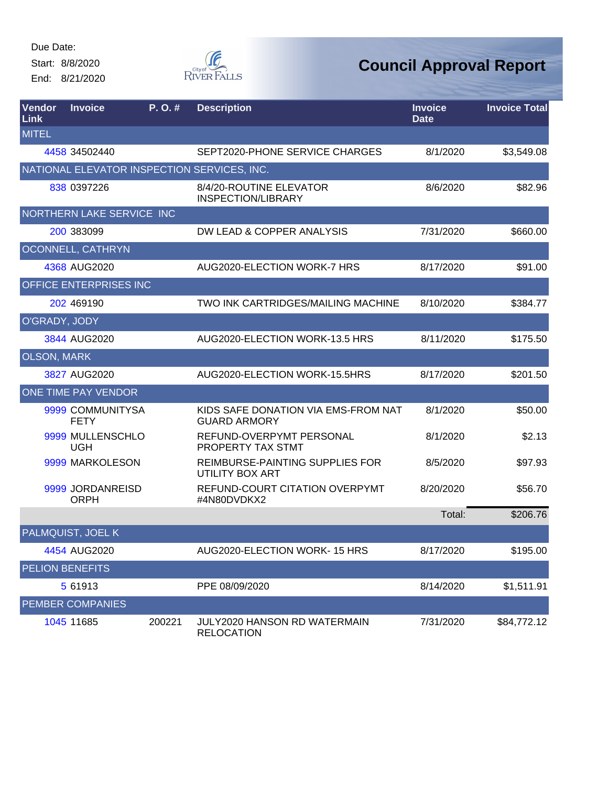Start: 8/8/2020

End: 8/21/2020



| Vendor<br>Link         | <b>Invoice</b>                              | P. O. # | <b>Description</b>                                         | <b>Invoice</b><br><b>Date</b> | <b>Invoice Total</b> |
|------------------------|---------------------------------------------|---------|------------------------------------------------------------|-------------------------------|----------------------|
| <b>MITEL</b>           |                                             |         |                                                            |                               |                      |
|                        | 4458 34502440                               |         | SEPT2020-PHONE SERVICE CHARGES                             | 8/1/2020                      | \$3,549.08           |
|                        | NATIONAL ELEVATOR INSPECTION SERVICES, INC. |         |                                                            |                               |                      |
|                        | 838 0397226                                 |         | 8/4/20-ROUTINE ELEVATOR<br><b>INSPECTION/LIBRARY</b>       | 8/6/2020                      | \$82.96              |
|                        | NORTHERN LAKE SERVICE INC                   |         |                                                            |                               |                      |
|                        | 200 383099                                  |         | DW LEAD & COPPER ANALYSIS                                  | 7/31/2020                     | \$660.00             |
|                        | OCONNELL, CATHRYN                           |         |                                                            |                               |                      |
|                        | 4368 AUG2020                                |         | AUG2020-ELECTION WORK-7 HRS                                | 8/17/2020                     | \$91.00              |
|                        | OFFICE ENTERPRISES INC                      |         |                                                            |                               |                      |
|                        | 202 469190                                  |         | TWO INK CARTRIDGES/MAILING MACHINE                         | 8/10/2020                     | \$384.77             |
| O'GRADY, JODY          |                                             |         |                                                            |                               |                      |
|                        | 3844 AUG2020                                |         | AUG2020-ELECTION WORK-13.5 HRS                             | 8/11/2020                     | \$175.50             |
| <b>OLSON, MARK</b>     |                                             |         |                                                            |                               |                      |
|                        | 3827 AUG2020                                |         | AUG2020-ELECTION WORK-15.5HRS                              | 8/17/2020                     | \$201.50             |
|                        | ONE TIME PAY VENDOR                         |         |                                                            |                               |                      |
|                        | 9999 COMMUNITYSA<br><b>FETY</b>             |         | KIDS SAFE DONATION VIA EMS-FROM NAT<br><b>GUARD ARMORY</b> | 8/1/2020                      | \$50.00              |
|                        | 9999 MULLENSCHLO<br><b>UGH</b>              |         | REFUND-OVERPYMT PERSONAL<br>PROPERTY TAX STMT              | 8/1/2020                      | \$2.13               |
|                        | 9999 MARKOLESON                             |         | REIMBURSE-PAINTING SUPPLIES FOR<br>UTILITY BOX ART         | 8/5/2020                      | \$97.93              |
|                        | 9999 JORDANREISD<br><b>ORPH</b>             |         | REFUND-COURT CITATION OVERPYMT<br>#4N80DVDKX2              | 8/20/2020                     | \$56.70              |
|                        |                                             |         |                                                            | Total:                        | \$206.76             |
|                        | PALMQUIST, JOEL K                           |         |                                                            |                               |                      |
|                        | 4454 AUG2020                                |         | AUG2020-ELECTION WORK-15 HRS                               | 8/17/2020                     | \$195.00             |
| <b>PELION BENEFITS</b> |                                             |         |                                                            |                               |                      |
|                        | 5 61913                                     |         | PPE 08/09/2020                                             | 8/14/2020                     | \$1,511.91           |
|                        | <b>PEMBER COMPANIES</b>                     |         |                                                            |                               |                      |
|                        | 1045 11685                                  | 200221  | JULY2020 HANSON RD WATERMAIN<br><b>RELOCATION</b>          | 7/31/2020                     | \$84,772.12          |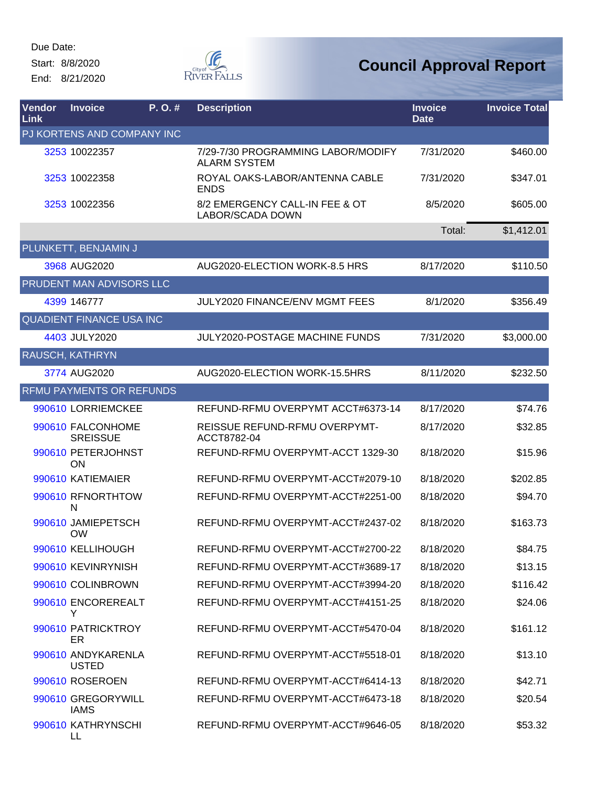Start: 8/8/2020 End: 8/21/2020



| Vendor<br><b>Link</b> | <b>Invoice</b>                       | P. O. # | <b>Description</b>                                        | <b>Invoice</b><br><b>Date</b> | <b>Invoice Total</b> |
|-----------------------|--------------------------------------|---------|-----------------------------------------------------------|-------------------------------|----------------------|
|                       | PJ KORTENS AND COMPANY INC           |         |                                                           |                               |                      |
|                       | 3253 10022357                        |         | 7/29-7/30 PROGRAMMING LABOR/MODIFY<br><b>ALARM SYSTEM</b> | 7/31/2020                     | \$460.00             |
|                       | 3253 10022358                        |         | ROYAL OAKS-LABOR/ANTENNA CABLE<br><b>ENDS</b>             | 7/31/2020                     | \$347.01             |
|                       | 3253 10022356                        |         | 8/2 EMERGENCY CALL-IN FEE & OT<br>LABOR/SCADA DOWN        | 8/5/2020                      | \$605.00             |
|                       |                                      |         |                                                           | Total:                        | \$1,412.01           |
|                       | PLUNKETT, BENJAMIN J                 |         |                                                           |                               |                      |
|                       | 3968 AUG2020                         |         | AUG2020-ELECTION WORK-8.5 HRS                             | 8/17/2020                     | \$110.50             |
|                       | <b>PRUDENT MAN ADVISORS LLC</b>      |         |                                                           |                               |                      |
|                       | 4399 146777                          |         | <b>JULY2020 FINANCE/ENV MGMT FEES</b>                     | 8/1/2020                      | \$356.49             |
|                       | <b>QUADIENT FINANCE USA INC</b>      |         |                                                           |                               |                      |
|                       | 4403 JULY2020                        |         | <b>JULY2020-POSTAGE MACHINE FUNDS</b>                     | 7/31/2020                     | \$3,000.00           |
|                       | <b>RAUSCH, KATHRYN</b>               |         |                                                           |                               |                      |
|                       | 3774 AUG2020                         |         | AUG2020-ELECTION WORK-15.5HRS                             | 8/11/2020                     | \$232.50             |
|                       | <b>RFMU PAYMENTS OR REFUNDS</b>      |         |                                                           |                               |                      |
|                       | 990610 LORRIEMCKEE                   |         | REFUND-RFMU OVERPYMT ACCT#6373-14                         | 8/17/2020                     | \$74.76              |
|                       | 990610 FALCONHOME<br><b>SREISSUE</b> |         | REISSUE REFUND-RFMU OVERPYMT-<br>ACCT8782-04              | 8/17/2020                     | \$32.85              |
|                       | 990610 PETERJOHNST<br><b>ON</b>      |         | REFUND-RFMU OVERPYMT-ACCT 1329-30                         | 8/18/2020                     | \$15.96              |
|                       | 990610 KATIEMAIER                    |         | REFUND-RFMU OVERPYMT-ACCT#2079-10                         | 8/18/2020                     | \$202.85             |
|                       | 990610 RFNORTHTOW<br>N               |         | REFUND-RFMU OVERPYMT-ACCT#2251-00                         | 8/18/2020                     | \$94.70              |
|                       | 990610 JAMIEPETSCH<br><b>OW</b>      |         | REFUND-RFMU OVERPYMT-ACCT#2437-02                         | 8/18/2020                     | \$163.73             |
|                       | 990610 KELLIHOUGH                    |         | REFUND-RFMU OVERPYMT-ACCT#2700-22                         | 8/18/2020                     | \$84.75              |
|                       | 990610 KEVINRYNISH                   |         | REFUND-RFMU OVERPYMT-ACCT#3689-17                         | 8/18/2020                     | \$13.15              |
|                       | 990610 COLINBROWN                    |         | REFUND-RFMU OVERPYMT-ACCT#3994-20                         | 8/18/2020                     | \$116.42             |
|                       | 990610 ENCOREREALT<br>Y              |         | REFUND-RFMU OVERPYMT-ACCT#4151-25                         | 8/18/2020                     | \$24.06              |
|                       | 990610 PATRICKTROY<br>ER             |         | REFUND-RFMU OVERPYMT-ACCT#5470-04                         | 8/18/2020                     | \$161.12             |
|                       | 990610 ANDYKARENLA<br><b>USTED</b>   |         | REFUND-RFMU OVERPYMT-ACCT#5518-01                         | 8/18/2020                     | \$13.10              |
|                       | 990610 ROSEROEN                      |         | REFUND-RFMU OVERPYMT-ACCT#6414-13                         | 8/18/2020                     | \$42.71              |
|                       | 990610 GREGORYWILL<br><b>IAMS</b>    |         | REFUND-RFMU OVERPYMT-ACCT#6473-18                         | 8/18/2020                     | \$20.54              |
|                       | 990610 KATHRYNSCHI<br>LL             |         | REFUND-RFMU OVERPYMT-ACCT#9646-05                         | 8/18/2020                     | \$53.32              |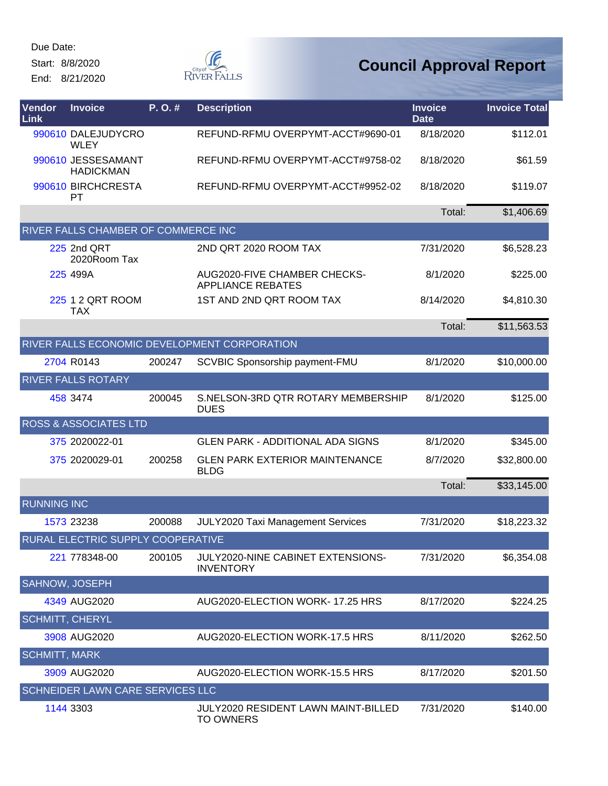Start: 8/8/2020

End: 8/21/2020



| Vendor<br>Link         | <b>Invoice</b>                             | P.O.#  | <b>Description</b>                                       | <b>Invoice</b><br><b>Date</b> | <b>Invoice Total</b> |
|------------------------|--------------------------------------------|--------|----------------------------------------------------------|-------------------------------|----------------------|
|                        | 990610 DALEJUDYCRO<br><b>WLEY</b>          |        | REFUND-RFMU OVERPYMT-ACCT#9690-01                        | 8/18/2020                     | \$112.01             |
|                        | 990610 JESSESAMANT<br><b>HADICKMAN</b>     |        | REFUND-RFMU OVERPYMT-ACCT#9758-02                        | 8/18/2020                     | \$61.59              |
|                        | 990610 BIRCHCRESTA<br><b>PT</b>            |        | REFUND-RFMU OVERPYMT-ACCT#9952-02                        | 8/18/2020                     | \$119.07             |
|                        |                                            |        |                                                          | Total:                        | \$1,406.69           |
|                        | <b>RIVER FALLS CHAMBER OF COMMERCE INC</b> |        |                                                          |                               |                      |
|                        | <b>225 2nd QRT</b><br>2020Room Tax         |        | 2ND QRT 2020 ROOM TAX                                    | 7/31/2020                     | \$6,528.23           |
|                        | 225 499A                                   |        | AUG2020-FIVE CHAMBER CHECKS-<br><b>APPLIANCE REBATES</b> | 8/1/2020                      | \$225.00             |
|                        | 225 1 2 QRT ROOM<br><b>TAX</b>             |        | 1ST AND 2ND QRT ROOM TAX                                 | 8/14/2020                     | \$4,810.30           |
|                        |                                            |        |                                                          | Total:                        | \$11,563.53          |
|                        |                                            |        | RIVER FALLS ECONOMIC DEVELOPMENT CORPORATION             |                               |                      |
|                        | 2704 R0143                                 | 200247 | SCVBIC Sponsorship payment-FMU                           | 8/1/2020                      | \$10,000.00          |
|                        | <b>RIVER FALLS ROTARY</b>                  |        |                                                          |                               |                      |
|                        | 458 3474                                   | 200045 | S.NELSON-3RD QTR ROTARY MEMBERSHIP<br><b>DUES</b>        | 8/1/2020                      | \$125.00             |
|                        | <b>ROSS &amp; ASSOCIATES LTD</b>           |        |                                                          |                               |                      |
|                        | 375 2020022-01                             |        | <b>GLEN PARK - ADDITIONAL ADA SIGNS</b>                  | 8/1/2020                      | \$345.00             |
|                        | 375 2020029-01                             | 200258 | <b>GLEN PARK EXTERIOR MAINTENANCE</b><br><b>BLDG</b>     | 8/7/2020                      | \$32,800.00          |
|                        |                                            |        |                                                          | Total:                        | \$33,145.00          |
| <b>RUNNING INC</b>     |                                            |        |                                                          |                               |                      |
|                        | 1573 23238                                 | 200088 | <b>JULY2020 Taxi Management Services</b>                 | 7/31/2020                     | \$18,223.32          |
|                        | RURAL ELECTRIC SUPPLY COOPERATIVE          |        |                                                          |                               |                      |
|                        | 221 778348-00                              | 200105 | JULY2020-NINE CABINET EXTENSIONS-<br><b>INVENTORY</b>    | 7/31/2020                     | \$6,354.08           |
| <b>SAHNOW, JOSEPH</b>  |                                            |        |                                                          |                               |                      |
|                        | 4349 AUG2020                               |        | AUG2020-ELECTION WORK-17.25 HRS                          | 8/17/2020                     | \$224.25             |
| <b>SCHMITT, CHERYL</b> |                                            |        |                                                          |                               |                      |
|                        | 3908 AUG2020                               |        | AUG2020-ELECTION WORK-17.5 HRS                           | 8/11/2020                     | \$262.50             |
| <b>SCHMITT, MARK</b>   |                                            |        |                                                          |                               |                      |
|                        | 3909 AUG2020                               |        | AUG2020-ELECTION WORK-15.5 HRS                           | 8/17/2020                     | \$201.50             |
|                        | <b>SCHNEIDER LAWN CARE SERVICES LLC</b>    |        |                                                          |                               |                      |
|                        | 1144 3303                                  |        | JULY2020 RESIDENT LAWN MAINT-BILLED<br><b>TO OWNERS</b>  | 7/31/2020                     | \$140.00             |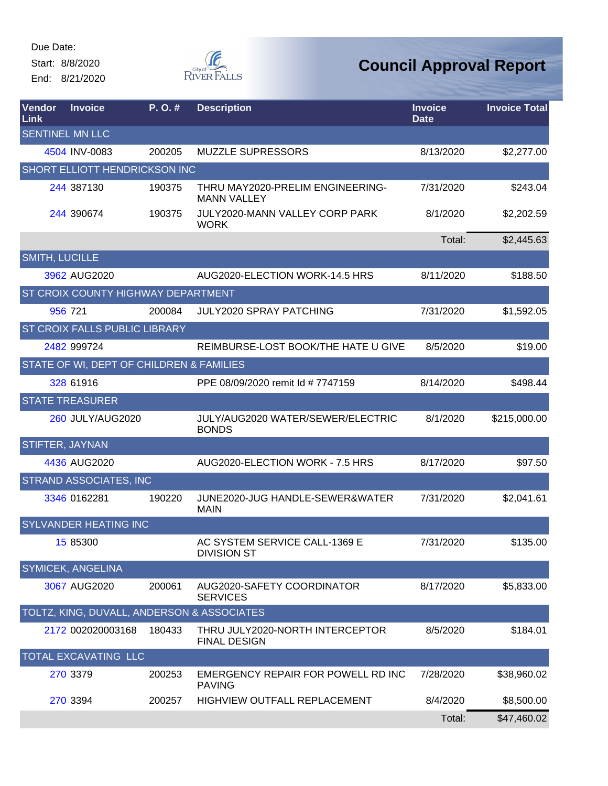Start: 8/8/2020

End: 8/21/2020



| Vendor<br>Link         | <b>Invoice</b>                             | P.O.#  | <b>Description</b>                                     | <b>Invoice</b><br><b>Date</b> | <b>Invoice Total</b> |
|------------------------|--------------------------------------------|--------|--------------------------------------------------------|-------------------------------|----------------------|
| <b>SENTINEL MN LLC</b> |                                            |        |                                                        |                               |                      |
|                        | 4504 INV-0083                              | 200205 | <b>MUZZLE SUPRESSORS</b>                               | 8/13/2020                     | \$2,277.00           |
|                        | SHORT ELLIOTT HENDRICKSON INC              |        |                                                        |                               |                      |
|                        | 244 387130                                 | 190375 | THRU MAY2020-PRELIM ENGINEERING-<br><b>MANN VALLEY</b> | 7/31/2020                     | \$243.04             |
|                        | 244 390674                                 | 190375 | JULY2020-MANN VALLEY CORP PARK<br><b>WORK</b>          | 8/1/2020                      | \$2,202.59           |
|                        |                                            |        |                                                        | Total:                        | \$2,445.63           |
| <b>SMITH, LUCILLE</b>  |                                            |        |                                                        |                               |                      |
|                        | 3962 AUG2020                               |        | AUG2020-ELECTION WORK-14.5 HRS                         | 8/11/2020                     | \$188.50             |
|                        | ST CROIX COUNTY HIGHWAY DEPARTMENT         |        |                                                        |                               |                      |
|                        | 956 721                                    | 200084 | <b>JULY2020 SPRAY PATCHING</b>                         | 7/31/2020                     | \$1,592.05           |
|                        | ST CROIX FALLS PUBLIC LIBRARY              |        |                                                        |                               |                      |
|                        | 2482 999724                                |        | REIMBURSE-LOST BOOK/THE HATE U GIVE                    | 8/5/2020                      | \$19.00              |
|                        | STATE OF WI, DEPT OF CHILDREN & FAMILIES   |        |                                                        |                               |                      |
|                        | 328 61916                                  |        | PPE 08/09/2020 remit Id # 7747159                      | 8/14/2020                     | \$498.44             |
|                        | <b>STATE TREASURER</b>                     |        |                                                        |                               |                      |
|                        | 260 JULY/AUG2020                           |        | JULY/AUG2020 WATER/SEWER/ELECTRIC<br><b>BONDS</b>      | 8/1/2020                      | \$215,000.00         |
| STIFTER, JAYNAN        |                                            |        |                                                        |                               |                      |
|                        | 4436 AUG2020                               |        | AUG2020-ELECTION WORK - 7.5 HRS                        | 8/17/2020                     | \$97.50              |
|                        | <b>STRAND ASSOCIATES, INC</b>              |        |                                                        |                               |                      |
|                        | 3346 0162281                               | 190220 | JUNE2020-JUG HANDLE-SEWER&WATER<br><b>MAIN</b>         | 7/31/2020                     | \$2,041.61           |
|                        | SYLVANDER HEATING INC                      |        |                                                        |                               |                      |
|                        | 15 85300                                   |        | AC SYSTEM SERVICE CALL-1369 E<br><b>DIVISION ST</b>    | 7/31/2020                     | \$135.00             |
|                        | <b>SYMICEK, ANGELINA</b>                   |        |                                                        |                               |                      |
|                        | 3067 AUG2020                               | 200061 | AUG2020-SAFETY COORDINATOR<br><b>SERVICES</b>          | 8/17/2020                     | \$5,833.00           |
|                        | TOLTZ, KING, DUVALL, ANDERSON & ASSOCIATES |        |                                                        |                               |                      |
|                        | 2172 002020003168                          | 180433 | THRU JULY2020-NORTH INTERCEPTOR<br><b>FINAL DESIGN</b> | 8/5/2020                      | \$184.01             |
|                        | TOTAL EXCAVATING LLC                       |        |                                                        |                               |                      |
|                        | 270 3379                                   | 200253 | EMERGENCY REPAIR FOR POWELL RD INC<br><b>PAVING</b>    | 7/28/2020                     | \$38,960.02          |
|                        | 270 3394                                   | 200257 | HIGHVIEW OUTFALL REPLACEMENT                           | 8/4/2020                      | \$8,500.00           |
|                        |                                            |        |                                                        | Total:                        | \$47,460.02          |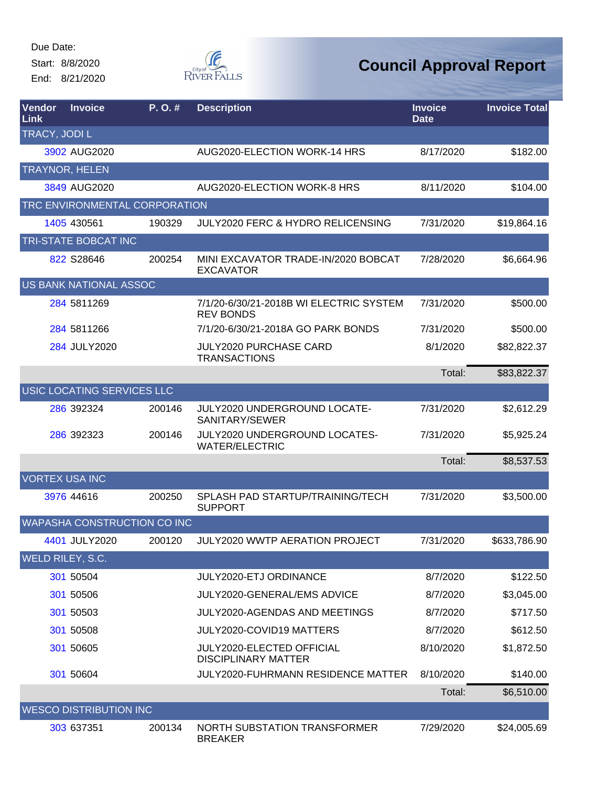Start: 8/8/2020

End: 8/21/2020



| <b>Vendor</b><br>Link | <b>Invoice</b>                | P.O.#                         | <b>Description</b>                                          | <b>Invoice</b><br><b>Date</b> | <b>Invoice Total</b> |
|-----------------------|-------------------------------|-------------------------------|-------------------------------------------------------------|-------------------------------|----------------------|
| TRACY, JODI L         |                               |                               |                                                             |                               |                      |
|                       | 3902 AUG2020                  |                               | AUG2020-ELECTION WORK-14 HRS                                | 8/17/2020                     | \$182.00             |
|                       | <b>TRAYNOR, HELEN</b>         |                               |                                                             |                               |                      |
|                       | 3849 AUG2020                  |                               | AUG2020-ELECTION WORK-8 HRS                                 | 8/11/2020                     | \$104.00             |
|                       |                               | TRC ENVIRONMENTAL CORPORATION |                                                             |                               |                      |
|                       | 1405 430561                   | 190329                        | JULY2020 FERC & HYDRO RELICENSING                           | 7/31/2020                     | \$19,864.16          |
|                       | TRI-STATE BOBCAT INC          |                               |                                                             |                               |                      |
|                       | 822 S28646                    | 200254                        | MINI EXCAVATOR TRADE-IN/2020 BOBCAT<br><b>EXCAVATOR</b>     | 7/28/2020                     | \$6,664.96           |
|                       | US BANK NATIONAL ASSOC        |                               |                                                             |                               |                      |
|                       | 284 5811269                   |                               | 7/1/20-6/30/21-2018B WI ELECTRIC SYSTEM<br><b>REV BONDS</b> | 7/31/2020                     | \$500.00             |
|                       | 284 5811266                   |                               | 7/1/20-6/30/21-2018A GO PARK BONDS                          | 7/31/2020                     | \$500.00             |
|                       | 284 JULY2020                  |                               | <b>JULY2020 PURCHASE CARD</b><br><b>TRANSACTIONS</b>        | 8/1/2020                      | \$82,822.37          |
|                       |                               |                               |                                                             | Total:                        | \$83,822.37          |
|                       | USIC LOCATING SERVICES LLC    |                               |                                                             |                               |                      |
|                       | 286 392324                    | 200146                        | JULY2020 UNDERGROUND LOCATE-<br>SANITARY/SEWER              | 7/31/2020                     | \$2,612.29           |
|                       | 286 392323                    | 200146                        | JULY2020 UNDERGROUND LOCATES-<br><b>WATER/ELECTRIC</b>      | 7/31/2020                     | \$5,925.24           |
|                       |                               |                               |                                                             | Total:                        | \$8,537.53           |
|                       | <b>VORTEX USA INC</b>         |                               |                                                             |                               |                      |
|                       | 3976 44616                    | 200250                        | SPLASH PAD STARTUP/TRAINING/TECH<br><b>SUPPORT</b>          | 7/31/2020                     | \$3,500.00           |
|                       |                               | WAPASHA CONSTRUCTION CO INC   |                                                             |                               |                      |
|                       | 4401 JULY2020                 | 200120                        | JULY2020 WWTP AERATION PROJECT                              | 7/31/2020                     | \$633,786.90         |
|                       | WELD RILEY, S.C.              |                               |                                                             |                               |                      |
|                       | 301 50504                     |                               | <b>JULY2020-ETJ ORDINANCE</b>                               | 8/7/2020                      | \$122.50             |
|                       | 301 50506                     |                               | JULY2020-GENERAL/EMS ADVICE                                 | 8/7/2020                      | \$3,045.00           |
|                       | 301 50503                     |                               | JULY2020-AGENDAS AND MEETINGS                               | 8/7/2020                      | \$717.50             |
|                       | 301 50508                     |                               | JULY2020-COVID19 MATTERS                                    | 8/7/2020                      | \$612.50             |
|                       | 301 50605                     |                               | JULY2020-ELECTED OFFICIAL<br><b>DISCIPLINARY MATTER</b>     | 8/10/2020                     | \$1,872.50           |
|                       | 301 50604                     |                               | <b>JULY2020-FUHRMANN RESIDENCE MATTER</b>                   | 8/10/2020                     | \$140.00             |
|                       |                               |                               |                                                             | Total:                        | \$6,510.00           |
|                       | <b>WESCO DISTRIBUTION INC</b> |                               |                                                             |                               |                      |
|                       | 303 637351                    | 200134                        | NORTH SUBSTATION TRANSFORMER<br><b>BREAKER</b>              | 7/29/2020                     | \$24,005.69          |